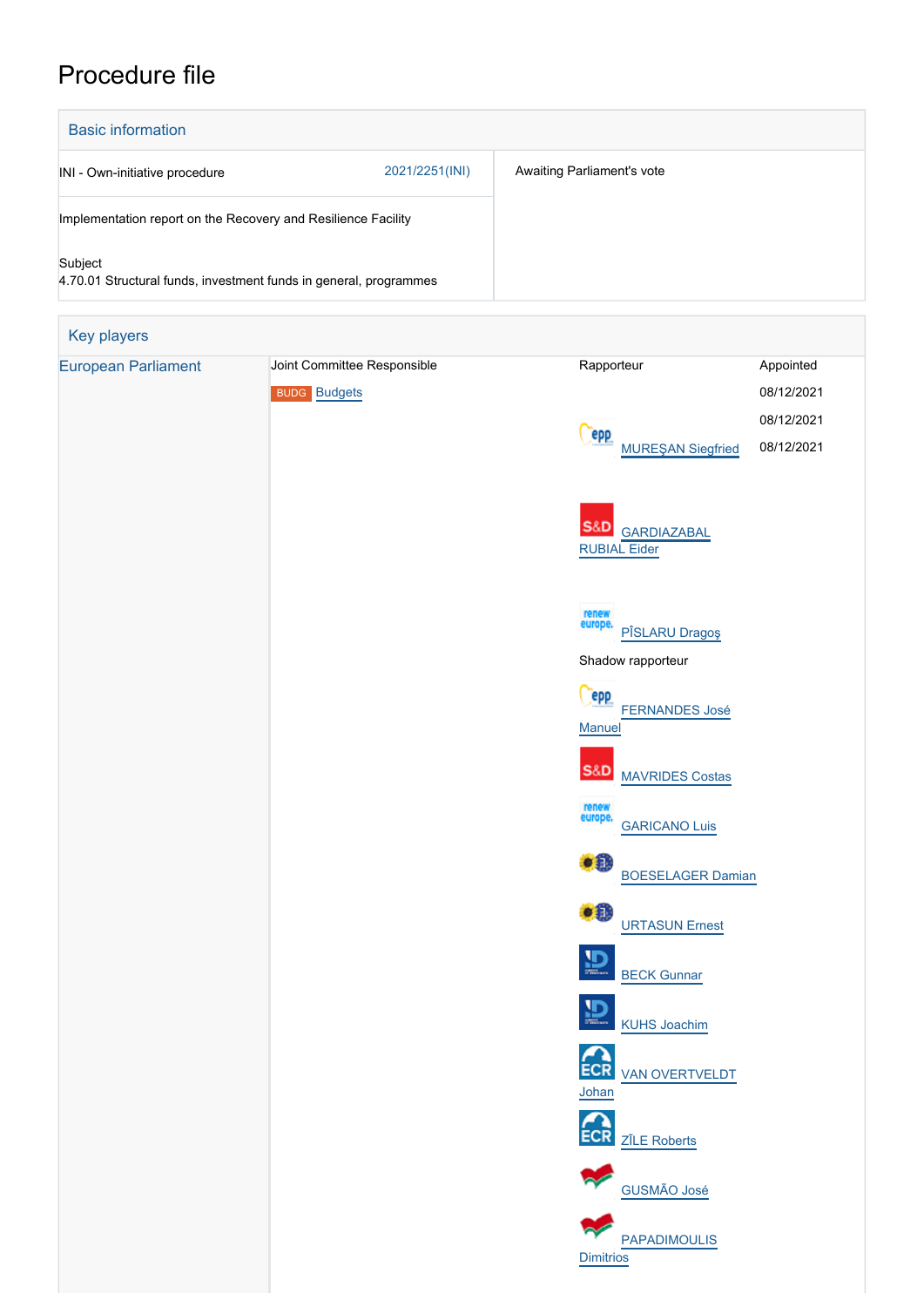## Procedure file

| <b>Basic information</b>                                                     |                |                            |
|------------------------------------------------------------------------------|----------------|----------------------------|
| INI - Own-initiative procedure                                               | 2021/2251(INI) | Awaiting Parliament's vote |
| Implementation report on the Recovery and Resilience Facility                |                |                            |
| Subject<br>4.70.01 Structural funds, investment funds in general, programmes |                |                            |

| Key players                |                             |                                           |            |
|----------------------------|-----------------------------|-------------------------------------------|------------|
| <b>European Parliament</b> | Joint Committee Responsible | Rapporteur                                | Appointed  |
|                            | <b>BUDG Budgets</b>         |                                           | 08/12/2021 |
|                            |                             | epp                                       | 08/12/2021 |
|                            |                             | <b>MUREŞAN Siegfried</b>                  | 08/12/2021 |
|                            |                             |                                           |            |
|                            |                             | <b>S&amp;D</b><br><b>GARDIAZABAL</b>      |            |
|                            |                             | <b>RUBIAL Eider</b>                       |            |
|                            |                             |                                           |            |
|                            |                             | renew<br>europe.                          |            |
|                            |                             | PÎSLARU Dragoș<br>Shadow rapporteur       |            |
|                            |                             | epp                                       |            |
|                            |                             | <b>FERNANDES José</b><br><b>Manuel</b>    |            |
|                            |                             |                                           |            |
|                            |                             | <b>S&amp;D</b><br><b>MAVRIDES Costas</b>  |            |
|                            |                             | renew<br>europe.<br><b>GARICANO Luis</b>  |            |
|                            |                             | $\bullet$ <sup><math>\bullet</math></sup> |            |
|                            |                             | <b>BOESELAGER Damian</b>                  |            |
|                            |                             | $\bullet$ 0<br><b>URTASUN Ernest</b>      |            |
|                            |                             |                                           |            |
|                            |                             | $\mathbf{D}$<br><b>BECK Gunnar</b>        |            |
|                            |                             | 鹽<br>KUHS Joachim                         |            |
|                            |                             |                                           |            |
|                            |                             | ECR VAN OVERTVELDT                        |            |
|                            |                             | Johan                                     |            |
|                            |                             | ECR ZILE Roberts                          |            |
|                            |                             |                                           |            |
|                            |                             | GUSMÃO José                               |            |
|                            |                             | <b>PAPADIMOULIS</b>                       |            |
|                            |                             | <b>Dimitrios</b>                          |            |
|                            |                             |                                           |            |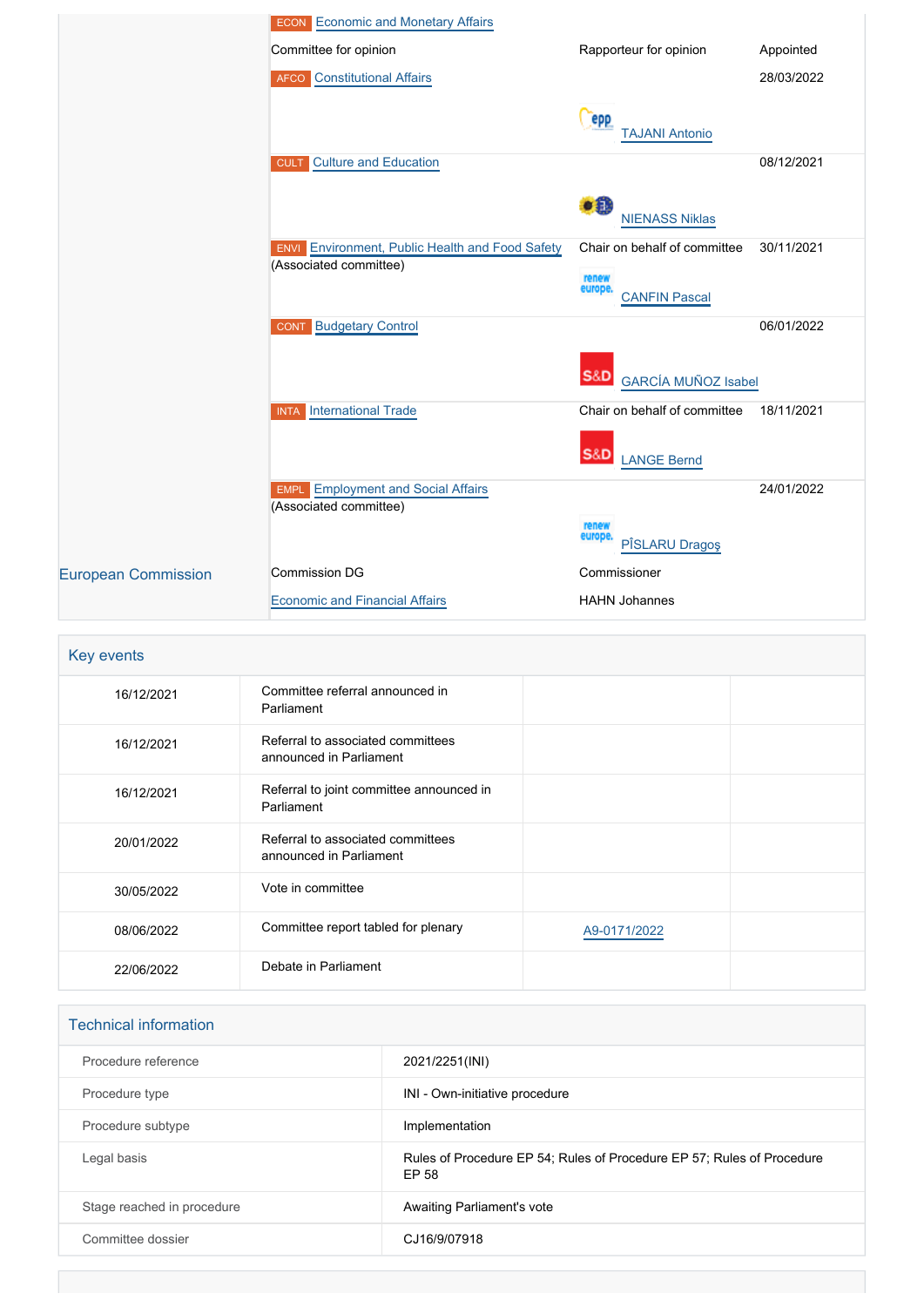|                            | <b>ECON</b> Economic and Monetary Affairs                                           |                                              |            |
|----------------------------|-------------------------------------------------------------------------------------|----------------------------------------------|------------|
|                            | Committee for opinion                                                               | Rapporteur for opinion                       | Appointed  |
|                            | <b>AFCO</b> Constitutional Affairs                                                  |                                              | 28/03/2022 |
|                            |                                                                                     | <b>epp</b><br><b>TAJANI Antonio</b>          |            |
|                            | <b>CULT</b> Culture and Education                                                   |                                              | 08/12/2021 |
|                            |                                                                                     | TH.<br><b>NIENASS Niklas</b>                 |            |
|                            | Environment, Public Health and Food Safety<br><b>ENVI</b><br>(Associated committee) | Chair on behalf of committee                 | 30/11/2021 |
|                            |                                                                                     | renew<br>europe.<br><b>CANFIN Pascal</b>     |            |
|                            | <b>Budgetary Control</b><br><b>CONT</b>                                             |                                              | 06/01/2022 |
|                            |                                                                                     | <b>S&amp;D</b><br><b>GARCÍA MUÑOZ Isabel</b> |            |
|                            | <b>International Trade</b><br><b>INTA</b>                                           | Chair on behalf of committee                 | 18/11/2021 |
|                            |                                                                                     | <b>S&amp;D</b><br><b>LANGE Bernd</b>         |            |
|                            | <b>EMPL</b> Employment and Social Affairs<br>(Associated committee)                 |                                              | 24/01/2022 |
|                            |                                                                                     | renew<br>europe.<br>PÎSLARU Dragoş           |            |
| <b>European Commission</b> | <b>Commission DG</b>                                                                | Commissioner                                 |            |
|                            | <b>Economic and Financial Affairs</b>                                               | <b>HAHN Johannes</b>                         |            |

## Key events 16/12/2021 Committee referral announced in Parliament 16/12/2021 Referral to associated committees announced in Parliament 16/12/2021 Referral to joint committee announced in **Parliament** 20/01/2022 Referral to associated committees announced in Parliament 30/05/2022 Vote in committee 08/06/2022 Committee report tabled for plenary Mag-0171/2022 22/06/2022 Debate in Parliament

| <b>Technical information</b> |                                                                                 |
|------------------------------|---------------------------------------------------------------------------------|
| Procedure reference          | 2021/2251(INI)                                                                  |
| Procedure type               | INI - Own-initiative procedure                                                  |
| Procedure subtype            | Implementation                                                                  |
| Legal basis                  | Rules of Procedure EP 54; Rules of Procedure EP 57; Rules of Procedure<br>EP 58 |
| Stage reached in procedure   | Awaiting Parliament's vote                                                      |
| Committee dossier            | CJ16/9/07918                                                                    |